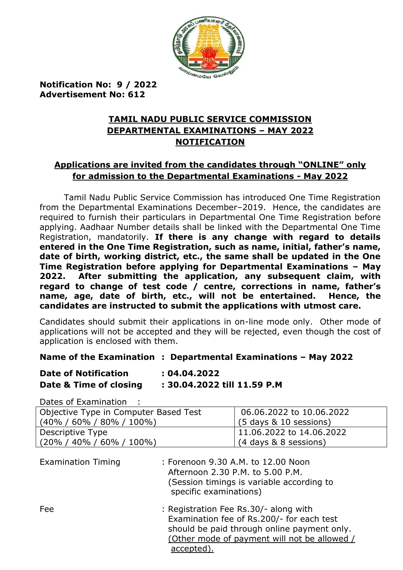

**Notification No: 9 / 2022 Advertisement No: 612**

## **TAMIL NADU PUBLIC SERVICE COMMISSION DEPARTMENTAL EXAMINATIONS – MAY 2022 NOTIFICATION**

# **Applications are invited from the candidates through "ONLINE" only for admission to the Departmental Examinations - May 2022**

Tamil Nadu Public Service Commission has introduced One Time Registration from the Departmental Examinations December–2019. Hence, the candidates are required to furnish their particulars in Departmental One Time Registration before applying. Aadhaar Number details shall be linked with the Departmental One Time Registration, mandatorily. **If there is any change with regard to details entered in the One Time Registration, such as name, initial, father's name, date of birth, working district, etc., the same shall be updated in the One Time Registration before applying for Departmental Examinations – May 2022. After submitting the application, any subsequent claim, with regard to change of test code / centre, corrections in name, father's name, age, date of birth, etc., will not be entertained. Hence, the candidates are instructed to submit the applications with utmost care.**

Candidates should submit their applications in on-line mode only. Other mode of applications will not be accepted and they will be rejected, even though the cost of application is enclosed with them.

#### **Name of the Examination : Departmental Examinations – May 2022**

| <b>Date of Notification</b> | : 04.04.2022                |  |  |  |
|-----------------------------|-----------------------------|--|--|--|
| Date & Time of closing      | : 30.04.2022 till 11.59 P.M |  |  |  |

Dates of Examination :

| Objective Type in Computer Based Test | 06.06.2022 to 10.06.2022    |
|---------------------------------------|-----------------------------|
| ' (40% / 60% / 80% / 100%)            | $(5$ days $\&$ 10 sessions) |
| Descriptive Type                      | 11.06.2022 to 14.06.2022    |
| (20% / 40% / 60% / 100%)              | (4 days & 8 sessions)       |

| <b>Examination Timing</b> | : Forenoon 9.30 A.M. to 12.00 Noon<br>Afternoon 2.30 P.M. to 5.00 P.M.<br>(Session timings is variable according to<br>specific examinations)                                                   |
|---------------------------|-------------------------------------------------------------------------------------------------------------------------------------------------------------------------------------------------|
| Fee                       | : Registration Fee Rs.30/- along with<br>Examination fee of Rs.200/- for each test<br>should be paid through online payment only.<br>(Other mode of payment will not be allowed /<br>accepted). |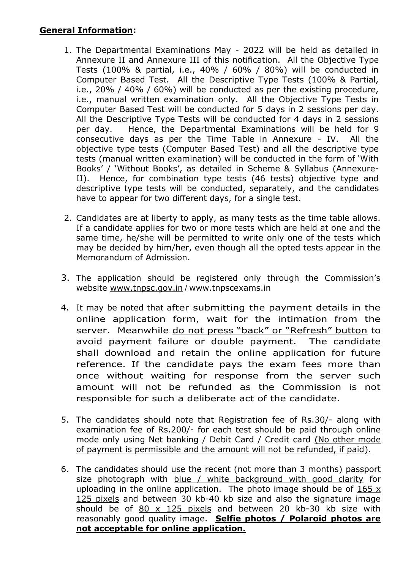#### **General Information:**

- 1. The Departmental Examinations May 2022 will be held as detailed in Annexure II and Annexure III of this notification. All the Objective Type Tests (100% & partial, i.e., 40% / 60% / 80%) will be conducted in Computer Based Test. All the Descriptive Type Tests (100% & Partial, i.e., 20% / 40% / 60%) will be conducted as per the existing procedure, i.e., manual written examination only. All the Objective Type Tests in Computer Based Test will be conducted for 5 days in 2 sessions per day. All the Descriptive Type Tests will be conducted for 4 days in 2 sessions per day. Hence, the Departmental Examinations will be held for 9 consecutive days as per the Time Table in Annexure - IV. All the objective type tests (Computer Based Test) and all the descriptive type tests (manual written examination) will be conducted in the form of "With Books" / "Without Books", as detailed in Scheme & Syllabus (Annexure-II). Hence, for combination type tests (46 tests) objective type and descriptive type tests will be conducted, separately, and the candidates have to appear for two different days, for a single test.
- 2. Candidates are at liberty to apply, as many tests as the time table allows. If a candidate applies for two or more tests which are held at one and the same time, he/she will be permitted to write only one of the tests which may be decided by him/her, even though all the opted tests appear in the Memorandum of Admission.
- 3. The application should be registered only through the Commission"s website [www.tnpsc.gov.in](http://www.tnpsc.gov.in/) / www.tnpscexams.in
- 4. It may be noted that after submitting the payment details in the online application form, wait for the intimation from the server. Meanwhile do not press "back" or "Refresh" button to avoid payment failure or double payment. The candidate shall download and retain the online application for future reference. If the candidate pays the exam fees more than once without waiting for response from the server such amount will not be refunded as the Commission is not responsible for such a deliberate act of the candidate.
- 5. The candidates should note that Registration fee of Rs.30/- along with examination fee of Rs.200/- for each test should be paid through online mode only using Net banking / Debit Card / Credit card (No other mode of payment is permissible and the amount will not be refunded, if paid).
- 6. The candidates should use the recent (not more than 3 months) passport size photograph with blue / white background with good clarity for uploading in the online application. The photo image should be of  $165 \times$ 125 pixels and between 30 kb-40 kb size and also the signature image should be of  $80 \times 125$  pixels and between 20 kb-30 kb size with reasonably good quality image. **Selfie photos / Polaroid photos are not acceptable for online application.**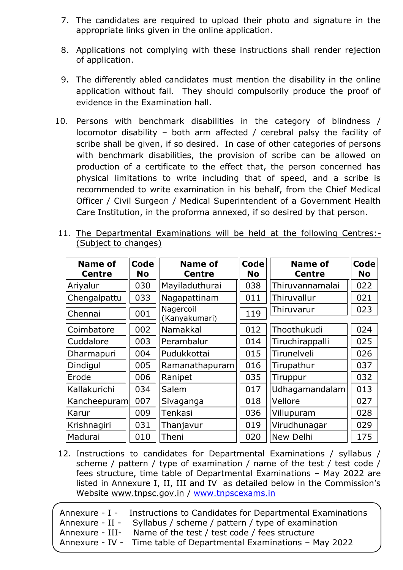- 7. The candidates are required to upload their photo and signature in the appropriate links given in the online application.
- 8. Applications not complying with these instructions shall render rejection of application.
- 9. The differently abled candidates must mention the disability in the online application without fail. They should compulsorily produce the proof of evidence in the Examination hall.
- 10. Persons with benchmark disabilities in the category of blindness / locomotor disability – both arm affected / cerebral palsy the facility of scribe shall be given, if so desired. In case of other categories of persons with benchmark disabilities, the provision of scribe can be allowed on production of a certificate to the effect that, the person concerned has physical limitations to write including that of speed, and a scribe is recommended to write examination in his behalf, from the Chief Medical Officer / Civil Surgeon / Medical Superintendent of a Government Health Care Institution, in the proforma annexed, if so desired by that person.

| <b>Name of</b><br><b>Centre</b> | <b>Code</b><br>No | <b>Name of</b><br><b>Centre</b> | Code<br>No | <b>Name of</b><br><b>Centre</b> | <b>Code</b><br><b>No</b> |
|---------------------------------|-------------------|---------------------------------|------------|---------------------------------|--------------------------|
| Ariyalur                        | 030               | Mayiladuthurai                  | 038        | Thiruvannamalai                 | 022                      |
| Chengalpattu                    | 033               | Nagapattinam                    | 011        | Thiruvallur                     | 021                      |
| Chennai                         | 001               | Nagercoil<br>(Kanyakumari)      | 119        | Thiruvarur                      | 023                      |
| Coimbatore                      | 002               | Namakkal                        | 012        | Thoothukudi                     | 024                      |
| Cuddalore                       | 003               | Perambalur                      | 014        | Tiruchirappalli                 | 025                      |
| Dharmapuri                      | 004               | Pudukkottai                     | 015        | Tirunelveli                     | 026                      |
| Dindigul                        | 005               | Ramanathapuram                  | 016        | Tirupathur                      | 037                      |
| Erode                           | 006               | Ranipet                         | 035        | Tiruppur                        | 032                      |
| Kallakurichi                    | 034               | Salem                           | 017        | Udhagamandalam                  | 013                      |
| Kancheepuram                    | 007               | Sivaganga                       | 018        | Vellore                         | 027                      |
| Karur                           | 009               | Tenkasi                         | 036        | Villupuram                      | 028                      |
| Krishnagiri                     | 031               | Thanjavur                       | 019        | Virudhunagar                    | 029                      |
| Madurai                         | 010               | Theni                           | 020        | New Delhi                       | 175                      |

11. The Departmental Examinations will be held at the following Centres:- (Subject to changes)

12. Instructions to candidates for Departmental Examinations / syllabus / scheme / pattern / type of examination / name of the test / test code / fees structure, time table of Departmental Examinations – May 2022 are listed in Annexure I, II, III and IV as detailed below in the Commission's Website [www.tnpsc.gov.in](http://www.tnpsc.gov.in/) / [www.tnpscexams.in](http://www.tnpscexams.in/)

|  | Annexure - I - Instructions to Candidates for Departmental Examinations<br>Annexure - II - Syllabus / scheme / pattern / type of examination |
|--|----------------------------------------------------------------------------------------------------------------------------------------------|
|  | Annexure - III- Name of the test / test code / fees structure<br>Annexure - IV - Time table of Departmental Examinations - May 2022          |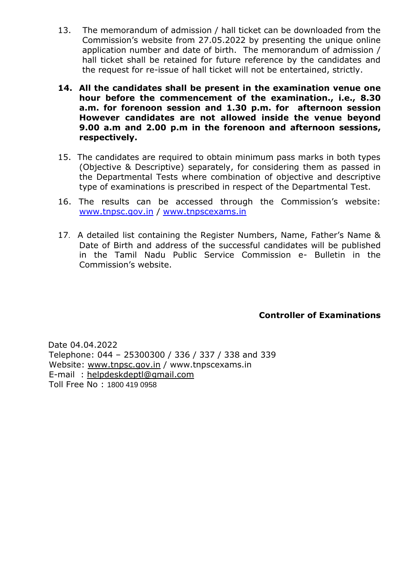- 13. The memorandum of admission / hall ticket can be downloaded from the Commission"s website from 27.05.2022 by presenting the unique online application number and date of birth. The memorandum of admission / hall ticket shall be retained for future reference by the candidates and the request for re-issue of hall ticket will not be entertained, strictly.
- **14. All the candidates shall be present in the examination venue one hour before the commencement of the examination., i.e., 8.30 a.m. for forenoon session and 1.30 p.m. for afternoon session However candidates are not allowed inside the venue beyond 9.00 a.m and 2.00 p.m in the forenoon and afternoon sessions, respectively.**
- 15. The candidates are required to obtain minimum pass marks in both types (Objective & Descriptive) separately, for considering them as passed in the Departmental Tests where combination of objective and descriptive type of examinations is prescribed in respect of the Departmental Test.
- 16. The results can be accessed through the Commission's website: [www.tnpsc.gov.in](http://www.tnpsc.gov.in/) / [www.tnpscexams.in](http://www.tnpscexams.in/)
- 17. A detailed list containing the Register Numbers, Name, Father"s Name & Date of Birth and address of the successful candidates will be published in the Tamil Nadu Public Service Commission e- Bulletin in the Commission"s website.

### **Controller of Examinations**

 Date 04.04.2022 Telephone: 044 – 25300300 / 336 / 337 / 338 and 339 Website: [www.tnpsc.gov.in](http://www.tnpsc.gov.in/) / www.tnpscexams.in E-mail : [helpdeskdeptl@gmail.com](mailto:helpdeskdeptl@gmail.com) Toll Free No : 1800 419 0958